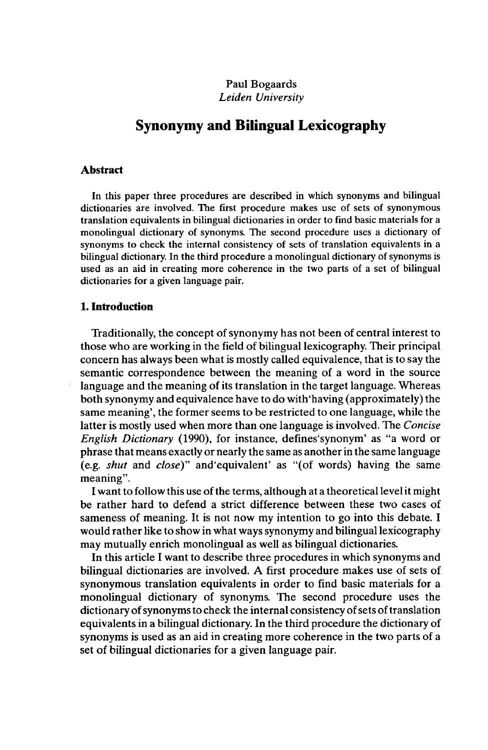# Paul Bogaards *Leiden University*

# **Synonymy and Bilingual Lexicography**

#### **Abstract**

In this paper three procedures are described in which synonyms and bilingual dictionaries are involved. The first procedure makes use of sets of synonymous translation equivalents in bilingual dictionaries in order to find basic materials for a monolingual dictionary of synonyms. The second procedure uses a dictionary of synonyms to check the internal consistency of sets of translation equivalents in a bilingual dictionary. In the third procedure a monolingual dictionary of synonyms is used as an aid in creating more coherence in the two parts of a set of bilingual dictionaries for a given language pair.

### **1. Introduction**

Traditionally, the concept of synonymy has not been of central interest to those who are working in the field of bilingual lexicography. Their principal concern has always been what is mostly called equivalence, that is to say the semantic correspondence between the meaning of a word in the source language and the meaning of its translation in the target language. Whereas both synonymy and equivalence have to do with'having (approximately) the same meaning', the former seems to be restricted to one language, while the latter is mostly used when more than one language is involved. The *Concise English Dictionary* (1990), for instance, defines'synonym' as "a word or phrase that means exactly or nearly the same as another in the same language (e.g. *shut* and *close)"* and'equivalent' as "(of words) having the same meaning".

I want to follow this use of the terms, although at a theoretical level it might be rather hard to defend a strict difference between these two cases of sameness of meaning. It is not now my intention to go into this debate. I would rather like to show in what ways synonymy and bilingual lexicography may mutually enrich monolingual as well as bilingual dictionaries.

In this article I want to describe three procedures in which synonyms and bilingual dictionaries are involved. A first procedure makes use of sets of synonymous translation equivalents in order to find basic materials for a monolingual dictionary of synonyms. The second procedure uses the dictionary of synonyms to check the internal consistency of sets of translation equivalents in a bilingual dictionary. In the third procedure the dictionary of synonyms is used as an aid in creating more coherence in the two parts of a set of bilingual dictionaries for a given language pair.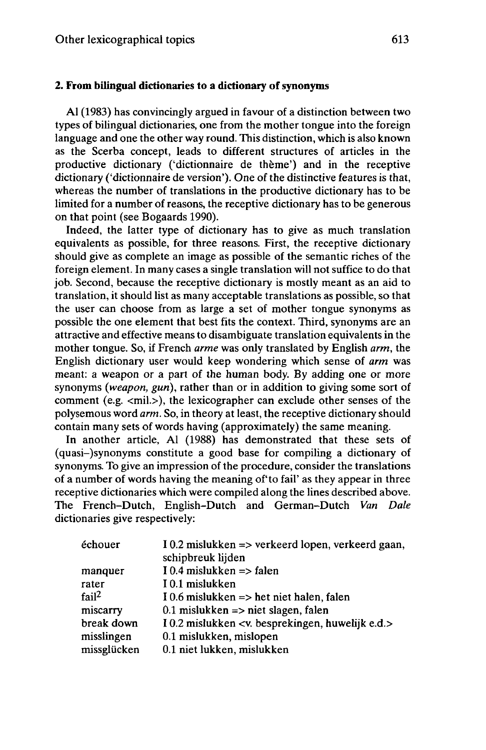## **2. From bilingual dictionaries to a dictionary ofsynonyms**

Al (1983) has convincingly argued in favour of a distinction between two types of bilingual dictionaries, one from the mother tongue into the foreign language and one the other way round. This distinction, which is also known as the Scerba concept, leads to different structures of articles in the productive dictionary ('dictionnaire de thème') and in the receptive dictionary ('dictionnaire de version'). One of the distinctive features is that, whereas the number of translations in the productive dictionary has to be limited for a number of reasons, the receptive dictionary has to be generous on that point (see Bogaards 1990).

Indeed, the latter type of dictionary has to give as much translation equivalents as possible, for three reasons. First, the receptive dictionary should give as complete an image as possible of the semantic riches of the foreign element. In many cases a single translation will not suffice to do that job. Second, because the receptive dictionary is mostly meant as an aid to translation, it should list as many acceptable translations as possible, so that the user can choose from as large a set of mother tongue synonyms as possible the one element that best fits the context. Third, synonyms are an attractive and effective means to disambiguate translation equivalents in the mother tongue. So, if French *arme* was only translated by English *arm,* the English dictionary user would keep wondering which sense of *arm* was meant: a weapon or a part of the human body. By adding one or more synonyms *{weapon, gun),* rather than or in addition to giving some sort of comment (e.g.  $\langle$ mil. $\rangle$ ), the lexicographer can exclude other senses of the polysemous word *arm.* So, in theory at least, the receptive dictionary should contain many sets of words having (approximately) the same meaning.

In another article, Al (1988) has demonstrated that these sets of (quasi-)synonyms constitute a good base for compiling a dictionary of synonyms. To give an impression of the procedure, consider the translations of a number of words having the meaning of'to fail' as they appear in three receptive dictionaries which were compiled along the lines described above. The French-Dutch, English-Dutch and German-Dutch *Van Dale* dictionaries give respectively:

| échouer           | $10.2$ mislukken => verkeerd lopen, verkeerd gaan,<br>schipbreuk lijden |
|-------------------|-------------------------------------------------------------------------|
| manquer           | $10.4$ mislukken => falen                                               |
| rater             | I 0.1 mislukken                                                         |
| fail <sup>2</sup> | I 0.6 mislukken $\Rightarrow$ het niet halen, falen                     |
| miscarry          | 0.1 mislukken $\Rightarrow$ niet slagen, falen                          |
| break down        | I 0.2 mislukken <v. besprekingen,="" e.d.="" huwelijk=""></v.>          |
| misslingen        | 0.1 mislukken, mislopen                                                 |
| missglücken       | 0.1 niet lukken, mislukken                                              |
|                   |                                                                         |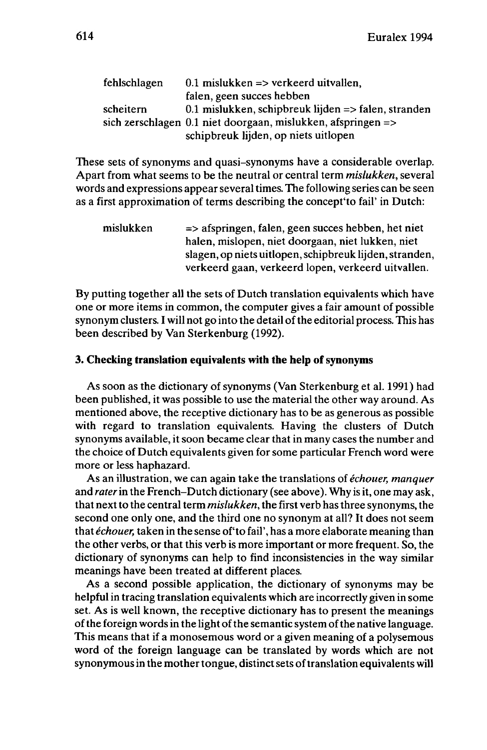| fehlschlagen | $0.1$ mislukken => verkeerd uitvallen.                                    |  |
|--------------|---------------------------------------------------------------------------|--|
|              | falen, geen succes hebben                                                 |  |
| scheitern    | 0.1 mislukken, schipbreuk lijden $\Rightarrow$ falen, stranden            |  |
|              | sich zerschlagen $0.1$ niet doorgaan, mislukken, afspringen $\Rightarrow$ |  |
|              | schipbreuk lijden, op niets uitlopen                                      |  |

These sets of synonyms and quasi-synonyms have a considerable overlap. Apart from what seems to be the neutral or central term *mislukken,* several words and expressions appear several times. The following series can be seen as a first approximation of terms describing the concept'to fail' in Dutch:

| mislukken | $\Rightarrow$ afspringen, falen, geen succes hebben, het niet |
|-----------|---------------------------------------------------------------|
|           | halen, mislopen, niet doorgaan, niet lukken, niet             |
|           | slagen, op niets uitlopen, schipbreuk lijden, stranden,       |
|           | verkeerd gaan, verkeerd lopen, verkeerd uitvallen.            |

By putting together all the sets of Dutch translation equivalents which have one or more items in common, the computer gives a fair amount of possible synonym clusters. I will not go into the detail of the editorial process. This has been described by Van Sterkenburg (1992).

## **3. Checking translation equivalents with the help ofsynonyms**

As soon as the dictionary of synonyms (Van Sterkenburg et al. 1991) had been published, it was possible to use the material the other way around. As mentioned above, the receptive dictionary has to be as generous as possible with regard to translation equivalents. Having the clusters of Dutch synonyms available, it soon became clear that in many cases the number and the choice of Dutch equivalents given for some particular French word were more or less haphazard.

As an illustration, we can again take the translations of *échouer, manquer* and *rater*in the French-Dutch dictionary (see above). Why is it, one may ask, that nextto the central term *mislukken,* the first verb hasthree synonyms, the second one only one, and the third one no synonym at all? It does not seem that *échouer*, taken in the sense of 'to fail', has a more elaborate meaning than the other verbs, or that this verb is more important or more frequent. So, the dictionary of synonyms can help to find inconsistencies in the way similar meanings have been treated at different places.

As a second possible application, the dictionary of synonyms may be helpful in tracing translation equivalents which are incorrectly given in some set. As is well known, the receptive dictionary has to present the meanings of the foreign words in the light of the semantic system of the native language. This means that if a monosemous word or a given meaning of a polysemous word of the foreign language can be translated by words which are not synonymous in the mother tongue, distinct sets of translation equivalents will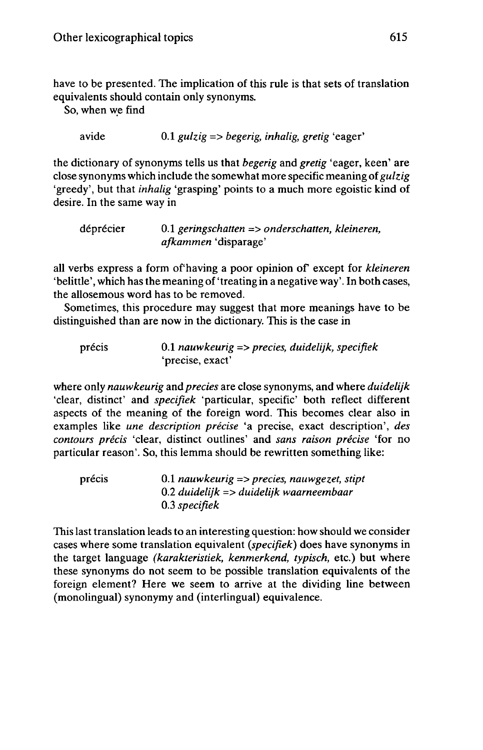have to be presented. The implication of this rule is that sets of translation equivalents should contain only synonyms.

```
So, when we find
```

```
avide 0.1 gulzig => begerig, inhalig, gretig 'eager'
```
the dictionary of synonyms tells us that *begerig* and *gretig* 'eager, keen' are close synonyms which include the somewhat more specific meaning of*gulzig* 'greedy', but that *inhalig* 'grasping' points to a much more egoistic kind of desire. In the same way in

| déprécier | 0.1 geringschatten $\Rightarrow$ onderschatten, kleineren, |  |
|-----------|------------------------------------------------------------|--|
|           | <i>afkammen</i> 'disparage'                                |  |

all verbs express <sup>a</sup> form of'having <sup>a</sup> poor opinion of except for *kleineren* 'belittle', which has the meaning of'treating in a negative way'. In both cases, the allosemous word has to be removed.

Sometimes, this procedure may suggest that more meanings have to be distinguished than are now in the dictionary. This is the case in

```
précis 0.1 nauwkeurig => precies, duidelijk, specifiek
   'precise, exact'
```
where only *nauwkeurig* and *precies* are close synonyms, and where *duidelijk* 'clear, distinct' and *specifiek* 'particular, specific' both reflect different aspects of the meaning of the foreign word. This becomes clear also in examples like *une description précise* 'a precise, exact description', *des contours précis* 'clear, distinct outlines' and *sans raison précise* 'for no particular reason'. So, this lemma should be rewritten something like:

précis 0.1 *nauwkeurig => precies, nauwgezet, stipt* 0.2 *duidelijk => duidelijk waarneembaar* 0.3 *specifiek*

This last translation leads to an interesting question: how should we consider cases where some translation equivalent *(specifiek)* does have synonyms in the target language *(karakteristiek, kenmerkend, typisch,* etc.) but where these synonyms do not seem to be possible translation equivalents of the foreign element? Here we seem to arrive at the dividing line between (monolingual) synonymy and (interlingual) equivalence.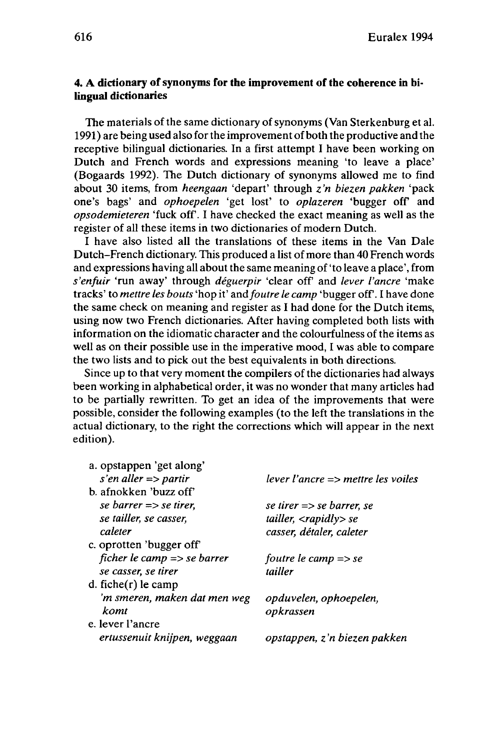# **4. A dictionary ofsynonyms for the improvement of the coherence in bilingual dictionaries**

The materials of the same dictionary of synonyms (Van Sterkenburg et al. 1991) are being used also for the improvement of both the productive and the receptive bilingual dictionaries. In a first attempt I have been working on Dutch and French words and expressions meaning 'to leave a place' (Bogaards 1992). The Dutch dictionary of synonyms allowed me to find about 30 items, from *heengaan* 'depart' through *z'n biezen pakken* 'pack one's bags' and *ophoepelen* 'get lost' to *oplazeren* 'bugger off and *opsodemieteren* 'fuck off. I have checked the exact meaning as well as the register of all these items in two dictionaries of modern Dutch.

I have also listed all the translations of these items in the Van Dale Dutch-French dictionary. This produced a list of more than 40 French words and expressions having all about the same meaning of 'to leave a place', from *s'enfuir* 'run away' through *déguerpir* 'clear off and *lever l'ancre* 'make tracks' to *mettre les bouts* 'hop it' and*foutre le camp* 'bugger off. I have done the same check on meaning and register as I had done for the Dutch items, using now two French dictionaries. After having completed both lists with information on the idiomatic character and the colourfulness of the items as well as on their possible use in the imperative mood, I was able to compare the two lists and to pick out the best equivalents in both directions.

Since up to that very moment the compilers of the dictionaries had always been working in alphabetical order, it was no wonder that many articles had to be partially rewritten. To get an idea of the improvements that were possible, consider the following examples (to the left the translations in the actual dictionary, to the right the corrections which will appear in the next edition).

| a. opstappen 'get along'               |                                         |
|----------------------------------------|-----------------------------------------|
| s'en aller $\Rightarrow$ partir        | $lever$ l'ancre => mettre les voiles    |
| b. afnokken 'buzz off'                 |                                         |
| se barrer $\Rightarrow$ se tirer.      | se tirer $\Rightarrow$ se barrer, se    |
| se tailler, se casser,                 | tailler, $\langle$ rapidly $\rangle$ se |
| caleter                                | casser, détaler, caleter                |
| c. oprotten 'bugger off'               |                                         |
| ficher le camp $\Rightarrow$ se barrer | foutre le camp $\Rightarrow$ se         |
| se casser, se tirer                    | tailler                                 |
| d. $fiche(r)$ le camp                  |                                         |
| 'm smeren, maken dat men weg           | opduvelen, ophoepelen,                  |
| komt                                   | opkrassen                               |
| e. lever l'ancre                       |                                         |
| ertussenuit knijpen, weggaan           | opstappen, z'n biezen pakken            |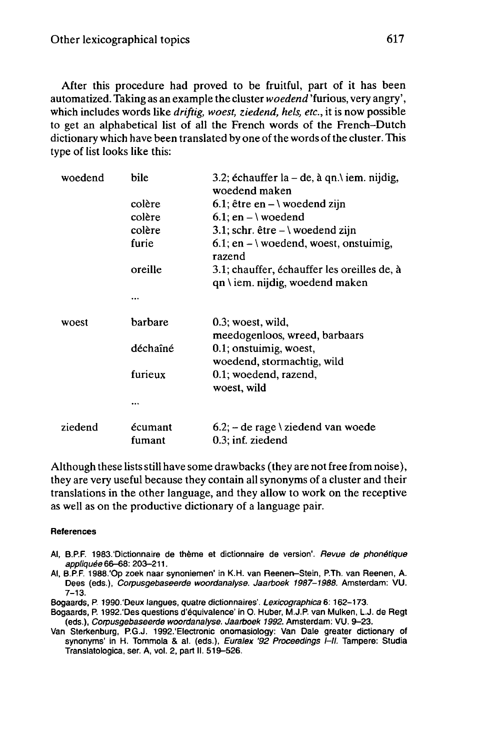After this procedure had proved to be fruitful, part of it has been automatized. Taking as an example the cluster *woedend* 'furious, very angry', which includes words like *driftig, woest, ziedend, hels, etc.,* it is now possible to get an alphabetical list of all the French words of the French-Dutch dictionary which have been translated by one of the words of the cluster. This type of list looks like this:

| woedend | bile              | 3.2; échauffer la – de, à qn. $\iota$ iem. nijdig,<br>woedend maken            |
|---------|-------------------|--------------------------------------------------------------------------------|
|         | colère            | 6.1; être en $-\vee$ woedend zijn                                              |
|         | colère            | $6.1$ ; en $- \vee$ woedend                                                    |
|         | colère            | 3.1; schr. être $-\iota$ woedend zijn                                          |
|         | furie             | 6.1; en $- \iota$ woedend, woest, onstuimig,<br>razend                         |
|         | oreille           | 3.1; chauffer, échauffer les oreilles de, à<br>qn \ iem. nijdig, woedend maken |
|         |                   |                                                                                |
| woest   | barbare           | 0.3; woest, wild,<br>meedogenloos, wreed, barbaars                             |
|         | déchaîné          | 0.1; onstuimig, woest,<br>woedend, stormachtig, wild                           |
|         | furieux           | 0.1; woedend, razend,<br>woest, wild                                           |
|         |                   |                                                                                |
| ziedend | écumant<br>fumant | $6.2$ ; – de rage \ ziedend van woede<br>$0.3$ ; inf. ziedend                  |

Although these lists still have some drawbacks (they are not free from noise), they are very useful because they contain all synonyms of a cluster and their translations in the other language, and they allow to work on the receptive as well as on the productive dictionary of a language pair.

#### **References**

- Al, B.P.F. 1983.'Dictionnaire de thème et dictionnaire de version'. Revue de phonétique appliquée 66-68: 203-211.
- Al, B.P.F. 1988.'Op zoek naar synoniemen' in K.H. van Reenen-Stein, P.Th. van Reenen, A. Dees (eds.), Corpusgebaseerde woordanalyse. Jaarboek 1987-1988. Amsterdam: VU.  $7 - 13.$
- Bogaards, P. 1990.'Deux langues, quatre dictionnaires'. Lexicographica 6: 162-173.
- Bogaards, P. 1992.'Des questions d'équivalence' in O. Huber, M.J.P. van Mulken, L.J. de Regt (eds.), Corpusgebaseerde woordanalyse. Jaarboek 1992. Amsterdam: VU. 9-23.

Van Sterkenburg, P.G.J. 1992.'Electronic onomasiology: Van Dale greater dictionary of synonyms' in H. Tommola & al. (eds.), Euralex '92 Proceedings  $I$ -Il. Tampere: Studia Translatologica, ser. A, vol. 2, part II. 519-526.